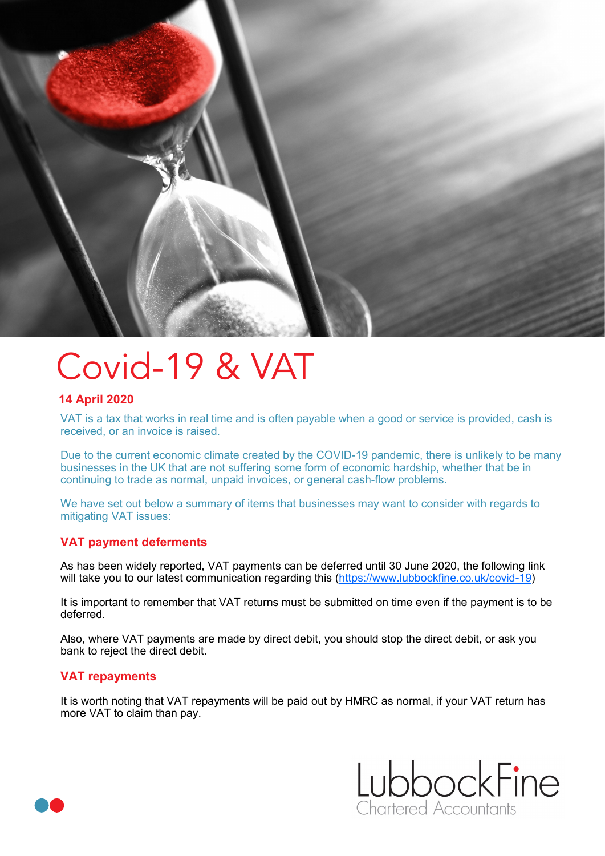

# Covid-19 & VAT

## **14 April 2020**

VAT is a tax that works in real time and is often payable when a good or service is provided, cash is received, or an invoice is raised.

Due to the current economic climate created by the COVID-19 pandemic, there is unlikely to be many businesses in the UK that are not suffering some form of economic hardship, whether that be in continuing to trade as normal, unpaid invoices, or general cash-flow problems.

We have set out below a summary of items that businesses may want to consider with regards to mitigating VAT issues:

### **VAT payment deferments**

As has been widely reported, VAT payments can be deferred until 30 June 2020, the following link will take you to our latest communication regarding this ([https://www.lubbockfine.co.uk/covid](https://www.lubbockfine.co.uk/covid-19)-19)

It is important to remember that VAT returns must be submitted on time even if the payment is to be deferred.

Also, where VAT payments are made by direct debit, you should stop the direct debit, or ask you bank to reject the direct debit.

#### **VAT repayments**

It is worth noting that VAT repayments will be paid out by HMRC as normal, if your VAT return has more VAT to claim than pay.



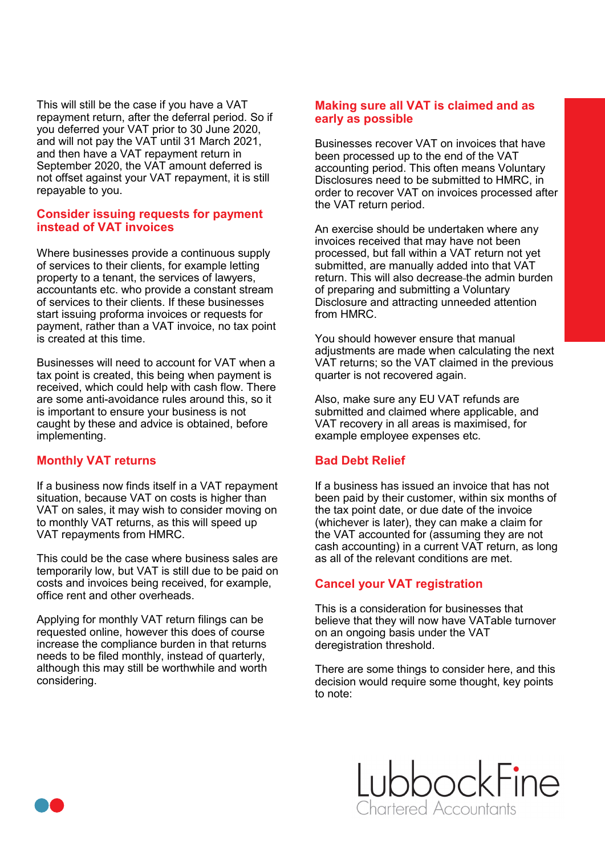This will still be the case if you have a VAT repayment return, after the deferral period. So if you deferred your VAT prior to 30 June 2020, and will not pay the VAT until 31 March 2021, and then have a VAT repayment return in September 2020, the VAT amount deferred is not offset against your VAT repayment, it is still repayable to you.

#### **Consider issuing requests for payment instead of VAT invoices**

Where businesses provide a continuous supply of services to their clients, for example letting property to a tenant, the services of lawyers, accountants etc. who provide a constant stream of services to their clients. If these businesses start issuing proforma invoices or requests for payment, rather than a VAT invoice, no tax point is created at this time.

Businesses will need to account for VAT when a tax point is created, this being when payment is received, which could help with cash flow. There are some anti-avoidance rules around this, so it is important to ensure your business is not caught by these and advice is obtained, before implementing.

### **Monthly VAT returns**

If a business now finds itself in a VAT repayment situation, because VAT on costs is higher than VAT on sales, it may wish to consider moving on to monthly VAT returns, as this will speed up VAT repayments from HMRC.

This could be the case where business sales are temporarily low, but VAT is still due to be paid on costs and invoices being received, for example, office rent and other overheads.

Applying for monthly VAT return filings can be requested online, however this does of course increase the compliance burden in that returns needs to be filed monthly, instead of quarterly, although this may still be worthwhile and worth considering.

#### **Making sure all VAT is claimed and as early as possible**

Businesses recover VAT on invoices that have been processed up to the end of the VAT accounting period. This often means Voluntary Disclosures need to be submitted to HMRC, in order to recover VAT on invoices processed after the VAT return period.

An exercise should be undertaken where any invoices received that may have not been processed, but fall within a VAT return not yet submitted, are manually added into that VAT return. This will also decrease the admin burden of preparing and submitting a Voluntary Disclosure and attracting unneeded attention from HMRC.

You should however ensure that manual adjustments are made when calculating the next VAT returns; so the VAT claimed in the previous quarter is not recovered again.

Also, make sure any EU VAT refunds are submitted and claimed where applicable, and VAT recovery in all areas is maximised, for example employee expenses etc.

### **Bad Debt Relief**

If a business has issued an invoice that has not been paid by their customer, within six months of the tax point date, or due date of the invoice (whichever is later), they can make a claim for the VAT accounted for (assuming they are not cash accounting) in a current VAT return, as long as all of the relevant conditions are met.

## **Cancel your VAT registration**

This is a consideration for businesses that believe that they will now have VATable turnover on an ongoing basis under the VAT deregistration threshold.

There are some things to consider here, and this decision would require some thought, key points to note: